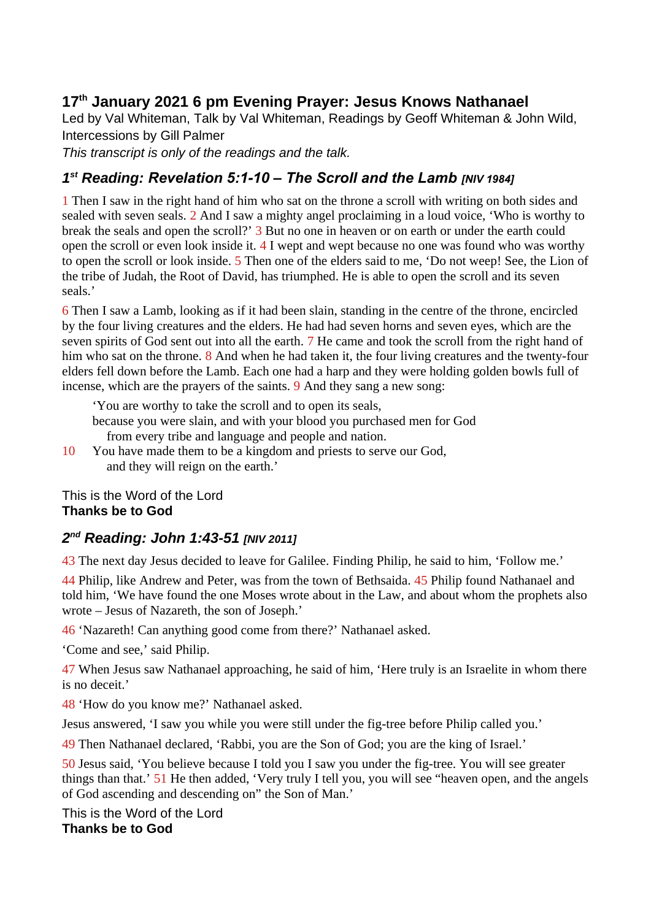## **17th January 2021 6 pm Evening Prayer: Jesus Knows Nathanael**

Led by Val Whiteman, Talk by Val Whiteman, Readings by Geoff Whiteman & John Wild, Intercessions by Gill Palmer

*This transcript is only of the readings and the talk.*

## *1 st Reading: Revelation 5:1-10 – The Scroll and the Lamb [NIV 1984]*

1 Then I saw in the right hand of him who sat on the throne a scroll with writing on both sides and sealed with seven seals. 2 And I saw a mighty angel proclaiming in a loud voice, 'Who is worthy to break the seals and open the scroll?' 3 But no one in heaven or on earth or under the earth could open the scroll or even look inside it. 4 I wept and wept because no one was found who was worthy to open the scroll or look inside. 5 Then one of the elders said to me, 'Do not weep! See, the Lion of the tribe of Judah, the Root of David, has triumphed. He is able to open the scroll and its seven seals.'

6 Then I saw a Lamb, looking as if it had been slain, standing in the centre of the throne, encircled by the four living creatures and the elders. He had had seven horns and seven eyes, which are the seven spirits of God sent out into all the earth. 7 He came and took the scroll from the right hand of him who sat on the throne. 8 And when he had taken it, the four living creatures and the twenty-four elders fell down before the Lamb. Each one had a harp and they were holding golden bowls full of incense, which are the prayers of the saints. 9 And they sang a new song:

'You are worthy to take the scroll and to open its seals,

because you were slain, and with your blood you purchased men for God from every tribe and language and people and nation.

10 You have made them to be a kingdom and priests to serve our God, and they will reign on the earth.'

This is the Word of the Lord **Thanks be to God**

## *2 nd Reading: John 1:43-51 [NIV 2011]*

43 The next day Jesus decided to leave for Galilee. Finding Philip, he said to him, 'Follow me.'

44 Philip, like Andrew and Peter, was from the town of Bethsaida. 45 Philip found Nathanael and told him, 'We have found the one Moses wrote about in the Law, and about whom the prophets also wrote – Jesus of Nazareth, the son of Joseph.'

46 'Nazareth! Can anything good come from there?' Nathanael asked.

'Come and see,' said Philip.

47 When Jesus saw Nathanael approaching, he said of him, 'Here truly is an Israelite in whom there is no deceit.'

48 'How do you know me?' Nathanael asked.

Jesus answered, 'I saw you while you were still under the fig-tree before Philip called you.'

49 Then Nathanael declared, 'Rabbi, you are the Son of God; you are the king of Israel.'

50 Jesus said, 'You believe because I told you I saw you under the fig-tree. You will see greater things than that.' 51 He then added, 'Very truly I tell you, you will see "heaven open, and the angels of God ascending and descending on" the Son of Man.'

This is the Word of the Lord **Thanks be to God**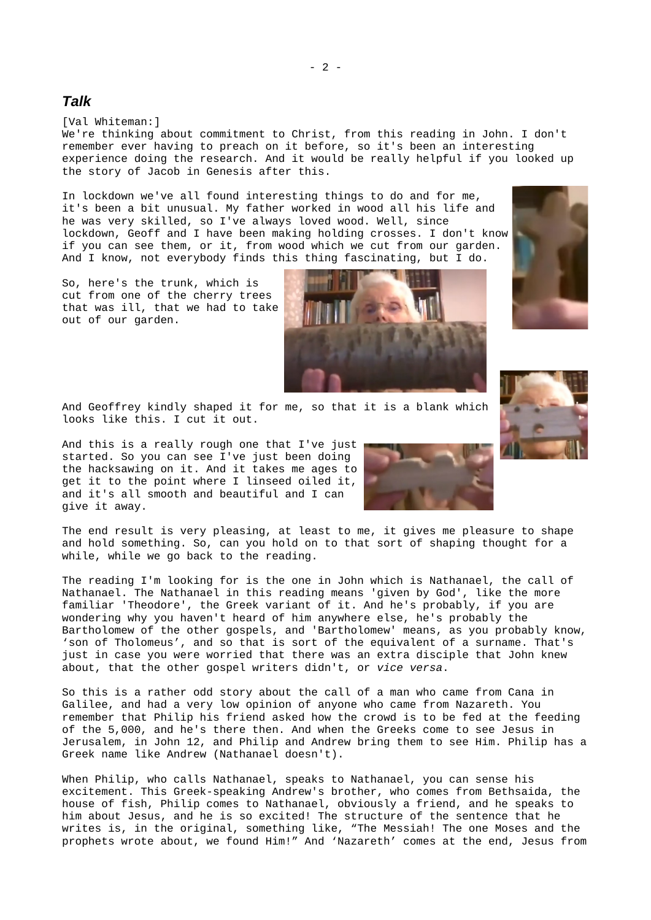## *Talk*

[Val Whiteman:]

We're thinking about commitment to Christ, from this reading in John. I don't remember ever having to preach on it before, so it's been an interesting experience doing the research. And it would be really helpful if you looked up the story of Jacob in Genesis after this.

In lockdown we've all found interesting things to do and for me, it's been a bit unusual. My father worked in wood all his life and he was very skilled, so I've always loved wood. Well, since lockdown, Geoff and I have been making holding crosses. I don't know if you can see them, or it, from wood which we cut from our garden. And I know, not everybody finds this thing fascinating, but I do.

So, here's the trunk, which is cut from one of the cherry trees that was ill, that we had to take out of our garden.

And Geoffrey kindly shaped it for me, so that it is a blank which looks like this. I cut it out.

And this is a really rough one that I've just started. So you can see I've just been doing the hacksawing on it. And it takes me ages to get it to the point where I linseed oiled it, and it's all smooth and beautiful and I can give it away.

The end result is very pleasing, at least to me, it gives me pleasure to shape and hold something. So, can you hold on to that sort of shaping thought for a while, while we go back to the reading.

The reading I'm looking for is the one in John which is Nathanael, the call of Nathanael. The Nathanael in this reading means 'given by God', like the more familiar 'Theodore', the Greek variant of it. And he's probably, if you are wondering why you haven't heard of him anywhere else, he's probably the Bartholomew of the other gospels, and 'Bartholomew' means, as you probably know, 'son of Tholomeus', and so that is sort of the equivalent of a surname. That's just in case you were worried that there was an extra disciple that John knew about, that the other gospel writers didn't, or *vice versa*.

So this is a rather odd story about the call of a man who came from Cana in Galilee, and had a very low opinion of anyone who came from Nazareth. You remember that Philip his friend asked how the crowd is to be fed at the feeding of the 5,000, and he's there then. And when the Greeks come to see Jesus in Jerusalem, in John 12, and Philip and Andrew bring them to see Him. Philip has a Greek name like Andrew (Nathanael doesn't).

When Philip, who calls Nathanael, speaks to Nathanael, you can sense his excitement. This Greek-speaking Andrew's brother, who comes from Bethsaida, the house of fish, Philip comes to Nathanael, obviously a friend, and he speaks to him about Jesus, and he is so excited! The structure of the sentence that he writes is, in the original, something like, "The Messiah! The one Moses and the prophets wrote about, we found Him!" And 'Nazareth' comes at the end, Jesus from



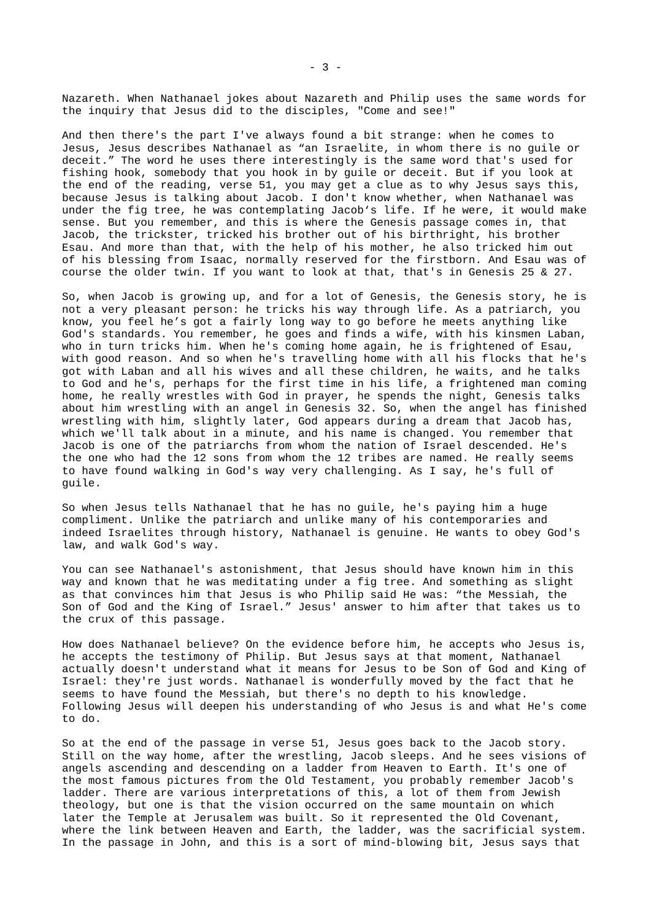Nazareth. When Nathanael jokes about Nazareth and Philip uses the same words for the inquiry that Jesus did to the disciples, "Come and see!"

And then there's the part I've always found a bit strange: when he comes to Jesus, Jesus describes Nathanael as "an Israelite, in whom there is no guile or deceit." The word he uses there interestingly is the same word that's used for fishing hook, somebody that you hook in by guile or deceit. But if you look at the end of the reading, verse 51, you may get a clue as to why Jesus says this, because Jesus is talking about Jacob. I don't know whether, when Nathanael was under the fig tree, he was contemplating Jacob's life. If he were, it would make sense. But you remember, and this is where the Genesis passage comes in, that Jacob, the trickster, tricked his brother out of his birthright, his brother Esau. And more than that, with the help of his mother, he also tricked him out of his blessing from Isaac, normally reserved for the firstborn. And Esau was of course the older twin. If you want to look at that, that's in Genesis 25 & 27.

So, when Jacob is growing up, and for a lot of Genesis, the Genesis story, he is not a very pleasant person: he tricks his way through life. As a patriarch, you know, you feel he's got a fairly long way to go before he meets anything like God's standards. You remember, he goes and finds a wife, with his kinsmen Laban, who in turn tricks him. When he's coming home again, he is frightened of Esau, with good reason. And so when he's travelling home with all his flocks that he's got with Laban and all his wives and all these children, he waits, and he talks to God and he's, perhaps for the first time in his life, a frightened man coming home, he really wrestles with God in prayer, he spends the night, Genesis talks about him wrestling with an angel in Genesis 32. So, when the angel has finished wrestling with him, slightly later, God appears during a dream that Jacob has, which we'll talk about in a minute, and his name is changed. You remember that Jacob is one of the patriarchs from whom the nation of Israel descended. He's the one who had the 12 sons from whom the 12 tribes are named. He really seems to have found walking in God's way very challenging. As I say, he's full of guile.

So when Jesus tells Nathanael that he has no guile, he's paying him a huge compliment. Unlike the patriarch and unlike many of his contemporaries and indeed Israelites through history, Nathanael is genuine. He wants to obey God's law, and walk God's way.

You can see Nathanael's astonishment, that Jesus should have known him in this way and known that he was meditating under a fig tree. And something as slight as that convinces him that Jesus is who Philip said He was: "the Messiah, the Son of God and the King of Israel." Jesus' answer to him after that takes us to the crux of this passage.

How does Nathanael believe? On the evidence before him, he accepts who Jesus is, he accepts the testimony of Philip. But Jesus says at that moment, Nathanael actually doesn't understand what it means for Jesus to be Son of God and King of Israel: they're just words. Nathanael is wonderfully moved by the fact that he seems to have found the Messiah, but there's no depth to his knowledge. Following Jesus will deepen his understanding of who Jesus is and what He's come to do.

So at the end of the passage in verse 51, Jesus goes back to the Jacob story. Still on the way home, after the wrestling, Jacob sleeps. And he sees visions of angels ascending and descending on a ladder from Heaven to Earth. It's one of the most famous pictures from the Old Testament, you probably remember Jacob's ladder. There are various interpretations of this, a lot of them from Jewish theology, but one is that the vision occurred on the same mountain on which later the Temple at Jerusalem was built. So it represented the Old Covenant, where the link between Heaven and Earth, the ladder, was the sacrificial system. In the passage in John, and this is a sort of mind-blowing bit, Jesus says that